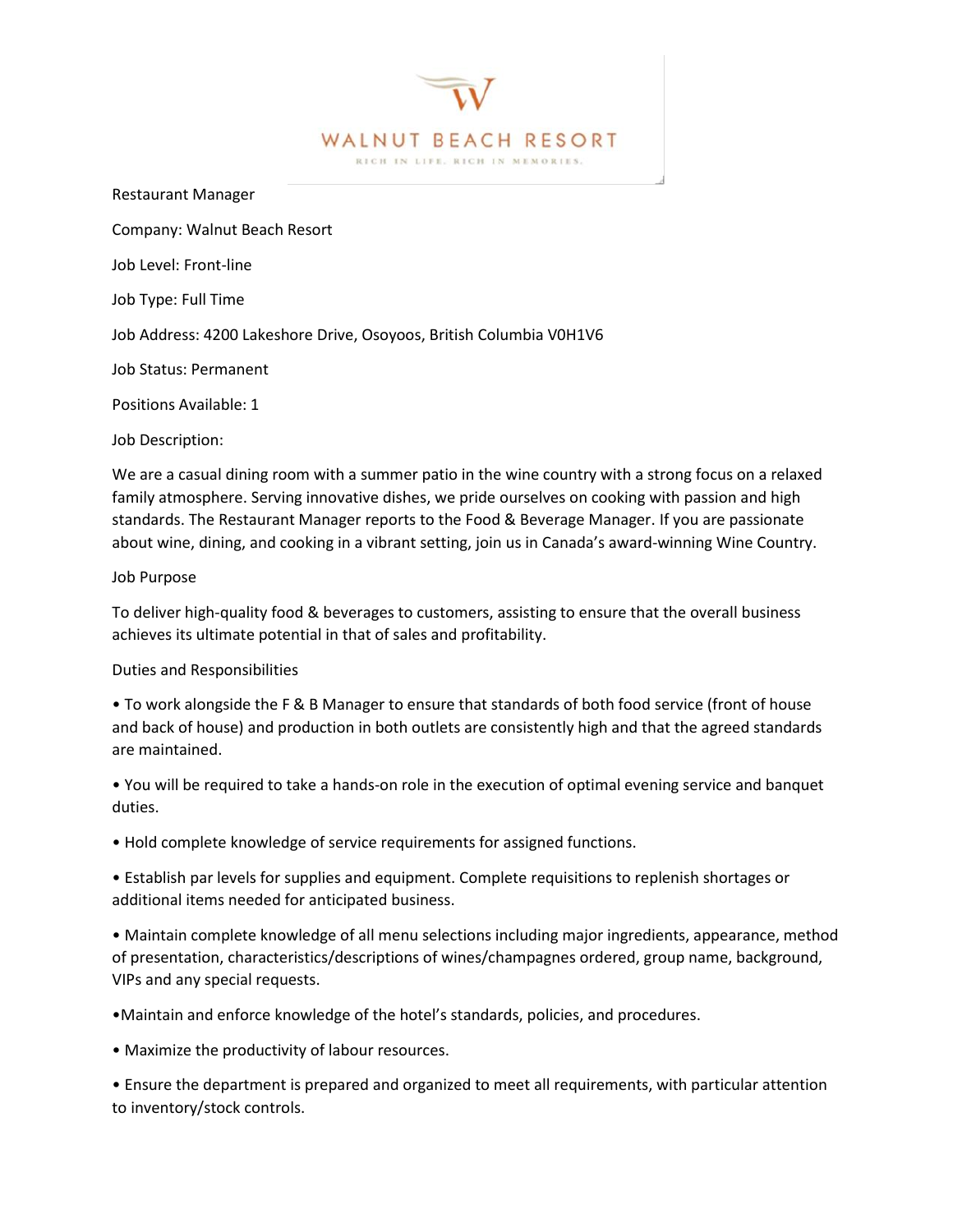

J

Restaurant Manager

Company: Walnut Beach Resort

Job Level: Front-line

Job Type: Full Time

Job Address: 4200 Lakeshore Drive, Osoyoos, British Columbia V0H1V6

Job Status: Permanent

Positions Available: 1

Job Description:

We are a casual dining room with a summer patio in the wine country with a strong focus on a relaxed family atmosphere. Serving innovative dishes, we pride ourselves on cooking with passion and high standards. The Restaurant Manager reports to the Food & Beverage Manager. If you are passionate about wine, dining, and cooking in a vibrant setting, join us in Canada's award-winning Wine Country.

## Job Purpose

To deliver high-quality food & beverages to customers, assisting to ensure that the overall business achieves its ultimate potential in that of sales and profitability.

## Duties and Responsibilities

• To work alongside the F & B Manager to ensure that standards of both food service (front of house and back of house) and production in both outlets are consistently high and that the agreed standards are maintained.

• You will be required to take a hands-on role in the execution of optimal evening service and banquet duties.

• Hold complete knowledge of service requirements for assigned functions.

• Establish par levels for supplies and equipment. Complete requisitions to replenish shortages or additional items needed for anticipated business.

• Maintain complete knowledge of all menu selections including major ingredients, appearance, method of presentation, characteristics/descriptions of wines/champagnes ordered, group name, background, VIPs and any special requests.

•Maintain and enforce knowledge of the hotel's standards, policies, and procedures.

• Maximize the productivity of labour resources.

• Ensure the department is prepared and organized to meet all requirements, with particular attention to inventory/stock controls.